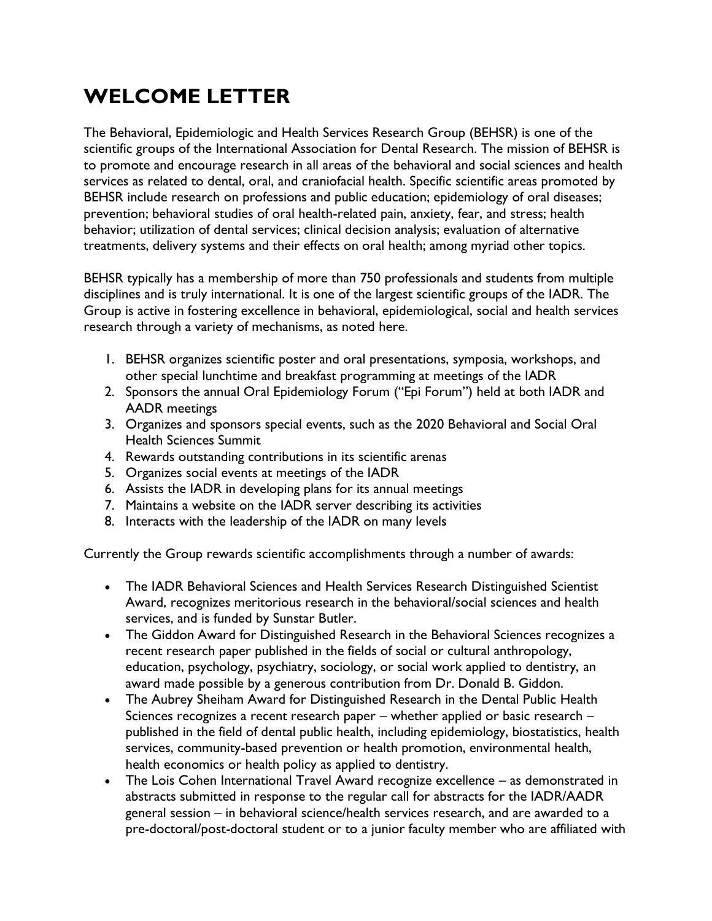## **WELCOME LETTER**

The Behavioral, Epidemiologic and Health Services Research Group (BEHSR) is one of the scientific groups of the International Association for Dental Research. The mission of BEHSR is to promote and encourage research in all areas of the behavioral and social sciences and health services as related to dental, oral, and craniofacial health. Specific scientific areas promoted by BEHSR include research on professions and public education; epidemiology of oral diseases; prevention; behavioral studies of oral health-related pain, anxiety, fear, and stress; health behavior; utilization of dental services; clinical decision analysis; evaluation of alternative treatments, delivery systems and their effects on oral health; among myriad other topics.

BEHSR typically has a membership of more than 750 professionals and students from multiple disciplines and is truly international. It is one of the largest scientific groups of the IADR. The Group is active in fostering excellence in behavioral, epidemiological, social and health services research through a variety of mechanisms, as noted here.

- 1. BEHSR organizes scientific poster and oral presentations, symposia, workshops, and other special lunchtime and breakfast programming at meetings of the IADR
- 2. Sponsors the annual Oral Epidemiology Forum ("Epi Forum") held at both IADR and AADR meetings
- 3. Organizes and sponsors special events, such as the 2020 Behavioral and Social Oral Health Sciences Summit
- 4. Rewards outstanding contributions in its scientific arenas
- 5. Organizes social events at meetings of the IADR
- 6. Assists the IADR in developing plans for its annual meetings
- 7. Maintains a website on the IADR server describing its activities
- 8. Interacts with the leadership of the IADR on many levels

Currently the Group rewards scientific accomplishments through a number of awards:

- The IADR Behavioral Sciences and Health Services Research Distinguished Scientist Award, recognizes meritorious research in the behavioral/social sciences and health services, and is funded by Sunstar Butler.
- The Giddon Award for Distinguished Research in the Behavioral Sciences recognizes a recent research paper published in the fields of social or cultural anthropology, education, psychology, psychiatry, sociology, or social work applied to dentistry, an award made possible by a generous contribution from Dr. Donald B. Giddon.
- The Aubrey Sheiham Award for Distinguished Research in the Dental Public Health Sciences recognizes a recent research paper – whether applied or basic research – published in the field of dental public health, including epidemiology, biostatistics, health services, community-based prevention or health promotion, environmental health, health economics or health policy as applied to dentistry.
- The Lois Cohen International Travel Award recognize excellence as demonstrated in abstracts submitted in response to the regular call for abstracts for the IADR/AADR general session – in behavioral science/health services research, and are awarded to a pre-doctoral/post-doctoral student or to a junior faculty member who are affiliated with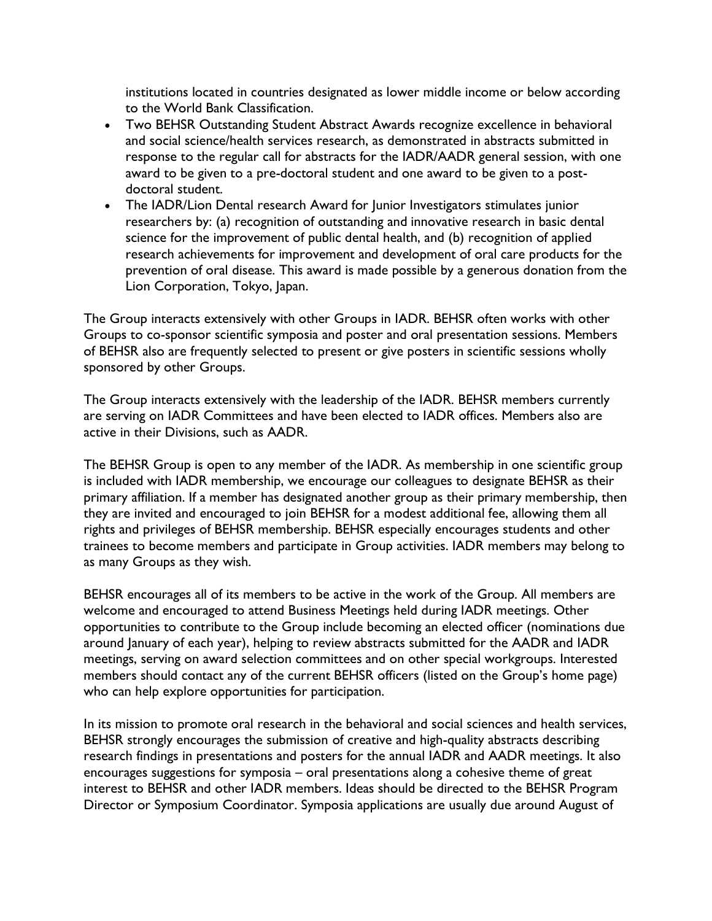institutions located in countries designated as lower middle income or below according to the World Bank Classification.

- Two BEHSR Outstanding Student Abstract Awards recognize excellence in behavioral and social science/health services research, as demonstrated in abstracts submitted in response to the regular call for abstracts for the IADR/AADR general session, with one award to be given to a pre-doctoral student and one award to be given to a postdoctoral student.
- The IADR/Lion Dental research Award for Junior Investigators stimulates junior researchers by: (a) recognition of outstanding and innovative research in basic dental science for the improvement of public dental health, and (b) recognition of applied research achievements for improvement and development of oral care products for the prevention of oral disease. This award is made possible by a generous donation from the Lion Corporation, Tokyo, Japan.

The Group interacts extensively with other Groups in IADR. BEHSR often works with other Groups to co-sponsor scientific symposia and poster and oral presentation sessions. Members of BEHSR also are frequently selected to present or give posters in scientific sessions wholly sponsored by other Groups.

The Group interacts extensively with the leadership of the IADR. BEHSR members currently are serving on IADR Committees and have been elected to IADR offices. Members also are active in their Divisions, such as AADR.

The BEHSR Group is open to any member of the IADR. As membership in one scientific group is included with IADR membership, we encourage our colleagues to designate BEHSR as their primary affiliation. If a member has designated another group as their primary membership, then they are invited and encouraged to join BEHSR for a modest additional fee, allowing them all rights and privileges of BEHSR membership. BEHSR especially encourages students and other trainees to become members and participate in Group activities. IADR members may belong to as many Groups as they wish.

BEHSR encourages all of its members to be active in the work of the Group. All members are welcome and encouraged to attend Business Meetings held during IADR meetings. Other opportunities to contribute to the Group include becoming an elected officer (nominations due around January of each year), helping to review abstracts submitted for the AADR and IADR meetings, serving on award selection committees and on other special workgroups. Interested members should contact any of the current BEHSR officers (listed on the Group's home page) who can help explore opportunities for participation.

In its mission to promote oral research in the behavioral and social sciences and health services, BEHSR strongly encourages the submission of creative and high-quality abstracts describing research findings in presentations and posters for the annual IADR and AADR meetings. It also encourages suggestions for symposia – oral presentations along a cohesive theme of great interest to BEHSR and other IADR members. Ideas should be directed to the BEHSR Program Director or Symposium Coordinator. Symposia applications are usually due around August of